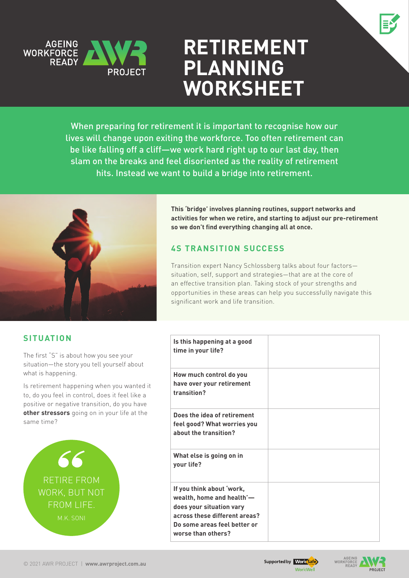

# **Retirement Planning WORKSHEET**

When preparing for retirement it is important to recognise how our lives will change upon exiting the workforce. Too often retirement can be like falling off a cliff—we work hard right up to our last day, then slam on the breaks and feel disoriented as the reality of retirement hits. Instead we want to build a bridge into retirement.



**This 'bridge' involves planning routines, support networks and activities for when we retire, and starting to adjust our pre-retirement so we don't find everything changing all at once.** 

# **4S Transition Success**

Transition expert Nancy Schlossberg talks about four factors situation, self, support and strategies—that are at the core of an effective transition plan. Taking stock of your strengths and opportunities in these areas can help you successfully navigate this significant work and life transition.

# **Situation**

The first "S" is about how you see your situation—the story you tell yourself about what is happening.

Is retirement happening when you wanted it to, do you feel in control, does it feel like a positive or negative transition, do you have **other stressors** going on in your life at the same time?



| Is this happening at a good<br>time in your life?                                                                                                                         |  |
|---------------------------------------------------------------------------------------------------------------------------------------------------------------------------|--|
| How much control do you<br>have over your retirement<br>transition?                                                                                                       |  |
| Does the idea of retirement<br>feel good? What worries you<br>about the transition?                                                                                       |  |
| What else is going on in<br>your life?                                                                                                                                    |  |
| If you think about 'work,<br>wealth, home and health'-<br>does your situation vary<br>across these different areas?<br>Do some areas feel better or<br>worse than others? |  |



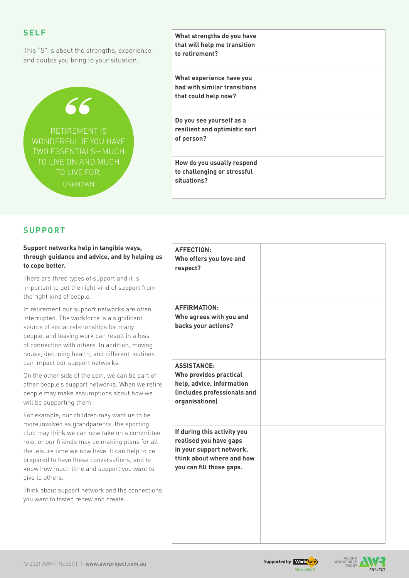| <b>SELF</b><br>This "S" is about the strengths, experience,<br>and doubts you bring to your situation. | What strengths do you have<br>that will help me transition<br>to retirement?     |  |
|--------------------------------------------------------------------------------------------------------|----------------------------------------------------------------------------------|--|
| 66                                                                                                     | What experience have you<br>had with similar transitions<br>that could help now? |  |
| <b>RETIREMENT IS</b><br>WONDERFUL IF YOU HAVE<br>TWO ESSENTIALS-MUCH                                   | Do you see yourself as a<br>resilient and optimistic sort<br>of person?          |  |
| TO LIVE ON AND MUCH<br>TO LIVE FOR.<br><b>UNKNOWN</b>                                                  | How do you usually respond<br>to challenging or stressful<br>situations?         |  |

## **Support**

| Support networks help in tangible ways,<br>through guidance and advice, and by helping us<br>to cope better.                                                                                                                                                                                                                                                        | <b>AFFECTION:</b><br>Who offers you love and<br>respect?                                                                                   |  |
|---------------------------------------------------------------------------------------------------------------------------------------------------------------------------------------------------------------------------------------------------------------------------------------------------------------------------------------------------------------------|--------------------------------------------------------------------------------------------------------------------------------------------|--|
| There are three types of support and it is<br>important to get the right kind of support from<br>the right kind of people.                                                                                                                                                                                                                                          |                                                                                                                                            |  |
| In retirement our support networks are often<br>interrupted. The workforce is a significant<br>source of social relationships for many<br>people, and leaving work can result in a loss<br>of connection with others. In addition, moving<br>house, declining health, and different routines                                                                        | <b>AFFIRMATION:</b><br>Who agrees with you and<br>backs your actions?                                                                      |  |
| can impact our support networks.<br>On the other side of the coin, we can be part of<br>other people's support networks. When we retire<br>people may make assumptions about how we<br>will be supporting them.                                                                                                                                                     | <b>ASSISTANCE:</b><br>Who provides practical<br>help, advice, information<br>(includes professionals and<br>organisations)                 |  |
| For example, our children may want us to be<br>more involved as grandparents, the sporting<br>club may think we can now take on a committee<br>role, or our friends may be making plans for all<br>the leisure time we now have. It can help to be<br>prepared to have these conversations, and to<br>know how much time and support you want to<br>give to others. | If during this activity you<br>realised you have gaps<br>in your support network,<br>think about where and how<br>you can fill those gaps. |  |
| Think about support network and the connections<br>you want to foster, renew and create.                                                                                                                                                                                                                                                                            |                                                                                                                                            |  |